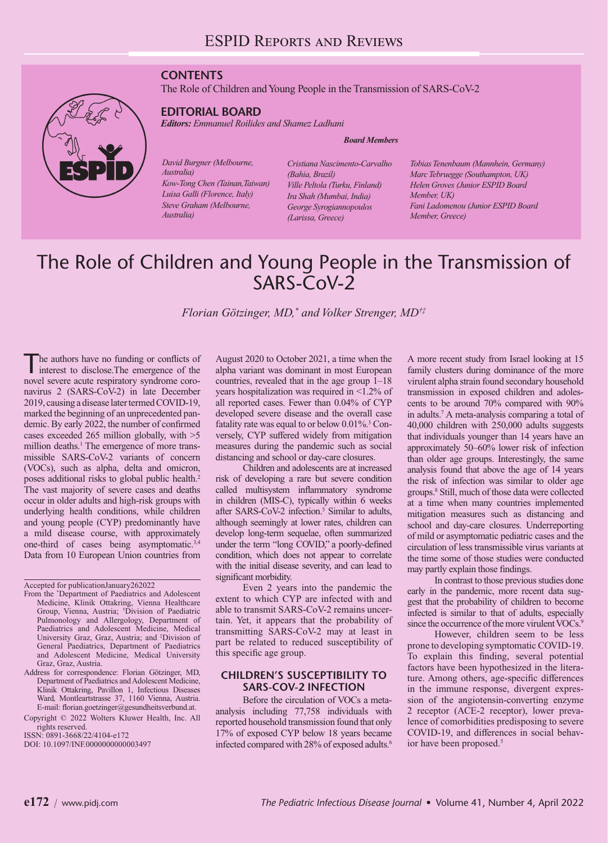## **CONTENTS**

The Role of Children and Young People in the Transmission of SARS-CoV-2

# **EDITORIAL BOARD**

*Editors: Emmanuel Roilides and Shamez Ladhani*

#### *Board Members*

*David Burgner (Melbourne, Australia) Kow-Tong Chen (Tainan,Taiwan) Luisa Galli (Florence, Italy) Steve Graham (Melbourne, Australia)*

*Cristiana Nascimento-Carvalho (Bahia, Brazil) Ville Peltola (Turku, Finland) Ira Shah (Mumbai, India) George Syrogiannopoulos (Larissa, Greece)* 

*Tobias Tenenbaum (Mannhein, Germany) Marc Tebruegge (Southampton, UK) Helen Groves (Junior ESPID Board Member, UK) Fani Ladomenou (Junior ESPID Board Member, Greece)* 

# The Role of Children and Young People in the Transmission of SARS-CoV-2

*Florian Götzinger, MD,\* and Volker Strenger, MD†‡*

The authors have no funding or conflicts of interest to disclose.The emergence of the novel severe acute respiratory syndrome coronavirus 2 (SARS-CoV-2) in late December 2019, causing a disease later termed COVID-19, marked the beginning of an unprecedented pandemic. By early 2022, the number of confirmed cases exceeded 265 million globally, with >5 million deaths.<sup>1</sup> The emergence of more transmissible SARS-CoV-2 variants of concern (VOCs), such as alpha, delta and omicron, poses additional risks to global public health.2 The vast majority of severe cases and deaths occur in older adults and high-risk groups with underlying health conditions, while children and young people (CYP) predominantly have a mild disease course, with approximately one-third of cases being asymptomatic.3,4 Data from 10 European Union countries from

August 2020 to October 2021, a time when the alpha variant was dominant in most European countries, revealed that in the age group 1–18 years hospitalization was required in <1.2% of all reported cases. Fewer than 0.04% of CYP developed severe disease and the overall case fatality rate was equal to or below 0.01%.<sup>3</sup> Conversely, CYP suffered widely from mitigation measures during the pandemic such as social distancing and school or day-care closures.

Children and adolescents are at increased risk of developing a rare but severe condition called multisystem inflammatory syndrome in children (MIS-C), typically within 6 weeks after SARS-CoV-2 infection.<sup>5</sup> Similar to adults, although seemingly at lower rates, children can develop long-term sequelae, often summarized under the term "long COVID," a poorly-defined condition, which does not appear to correlate with the initial disease severity, and can lead to significant morbidity.

Even 2 years into the pandemic the extent to which CYP are infected with and able to transmit SARS-CoV-2 remains uncertain. Yet, it appears that the probability of transmitting SARS-CoV-2 may at least in part be related to reduced susceptibility of this specific age group.

## **CHILDREN'S SUSCEPTIBILITY TO SARS-COV-2 INFECTION**

Before the circulation of VOCs a metaanalysis including 77,758 individuals with reported household transmission found that only 17% of exposed CYP below 18 years became infected compared with 28% of exposed adults.<sup>6</sup> A more recent study from Israel looking at 15 family clusters during dominance of the more virulent alpha strain found secondary household transmission in exposed children and adolescents to be around 70% compared with 90% in adults.7 A meta-analysis comparing a total of 40,000 children with 250,000 adults suggests that individuals younger than 14 years have an approximately 50–60% lower risk of infection than older age groups. Interestingly, the same analysis found that above the age of 14 years the risk of infection was similar to older age groups.8 Still, much of those data were collected at a time when many countries implemented mitigation measures such as distancing and school and day-care closures. Underreporting of mild or asymptomatic pediatric cases and the circulation of less transmissible virus variants at the time some of those studies were conducted may partly explain those findings.

In contrast to those previous studies done early in the pandemic, more recent data suggest that the probability of children to become infected is similar to that of adults, especially since the occurrence of the more virulent VOCs.<sup>9</sup>

However, children seem to be less prone to developing symptomatic COVID-19. To explain this finding, several potential factors have been hypothesized in the literature. Among others, age-specific differences in the immune response, divergent expression of the angiotensin-converting enzyme 2 receptor (ACE-2 receptor), lower prevalence of comorbidities predisposing to severe COVID-19, and differences in social behavior have been proposed.<sup>5</sup>

Accepted for publicationJanuary262022

From the \* Department of Paediatrics and Adolescent Medicine, Klinik Ottakring, Vienna Healthcare Group, Vienna, Austria; † Division of Paediatric Pulmonology and Allergology, Department of Paediatrics and Adolescent Medicine, Medical University Graz, Graz, Austria; and ‡ Division of General Paediatrics, Department of Paediatrics and Adolescent Medicine, Medical University Graz, Graz, Austria.

Address for correspondence: Florian Götzinger, MD, Department of Paediatrics and Adolescent Medicine, Klinik Ottakring, Pavillon 1, Infectious Diseases Ward, Montleartstrasse 37, 1160 Vienna, Austria. E-mail: [florian.goetzinger@gesundheitsverbund.at.](mailto:florian.goetzinger@gesundheitsverbund.at)

Copyright © 2022 Wolters Kluwer Health, Inc. All rights reserved.

ISSN: 0891-3668/22/4104-e172

DOI: 10.1097/INF.0000000000003497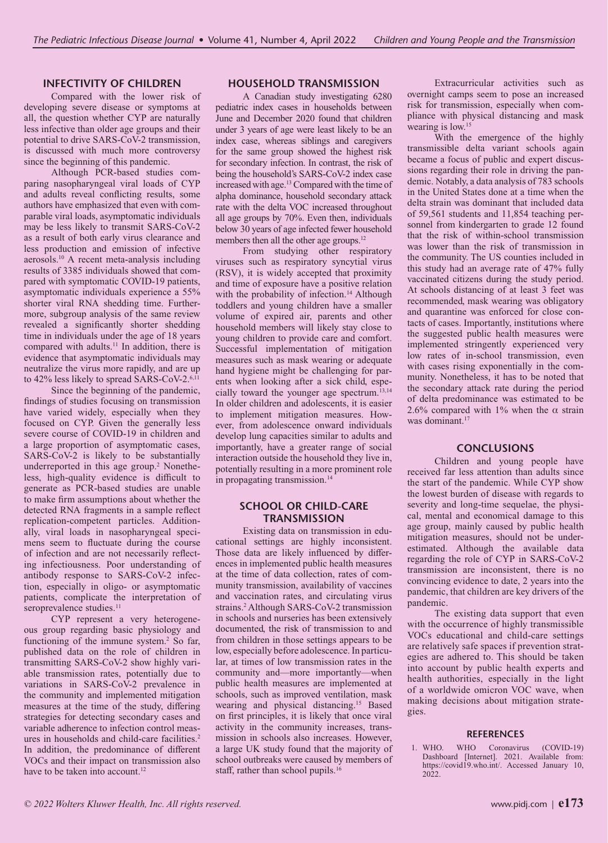## **INFECTIVITY OF CHILDREN**

Compared with the lower risk of developing severe disease or symptoms at all, the question whether CYP are naturally less infective than older age groups and their potential to drive SARS-CoV-2 transmission, is discussed with much more controversy since the beginning of this pandemic.

Although PCR-based studies comparing nasopharyngeal viral loads of CYP and adults reveal conflicting results, some authors have emphasized that even with comparable viral loads, asymptomatic individuals may be less likely to transmit SARS-CoV-2 as a result of both early virus clearance and less production and emission of infective aerosols.10 A recent meta-analysis including results of 3385 individuals showed that compared with symptomatic COVID-19 patients, asymptomatic individuals experience a 55% shorter viral RNA shedding time. Furthermore, subgroup analysis of the same review revealed a significantly shorter shedding time in individuals under the age of 18 years compared with adults.<sup>11</sup> In addition, there is evidence that asymptomatic individuals may neutralize the virus more rapidly, and are up to 42% less likely to spread SARS-CoV-2.<sup>6,11</sup>

Since the beginning of the pandemic, findings of studies focusing on transmission have varied widely, especially when they focused on CYP. Given the generally less severe course of COVID-19 in children and a large proportion of asymptomatic cases, SARS-CoV-2 is likely to be substantially underreported in this age group.<sup>2</sup> Nonetheless, high-quality evidence is difficult to generate as PCR-based studies are unable to make firm assumptions about whether the detected RNA fragments in a sample reflect replication-competent particles. Additionally, viral loads in nasopharyngeal specimens seem to fluctuate during the course of infection and are not necessarily reflecting infectiousness. Poor understanding of antibody response to SARS-CoV-2 infection, especially in oligo- or asymptomatic patients, complicate the interpretation of seroprevalence studies.<sup>11</sup>

CYP represent a very heterogeneous group regarding basic physiology and functioning of the immune system.<sup>2</sup> So far, published data on the role of children in transmitting SARS-CoV-2 show highly variable transmission rates, potentially due to variations in SARS-CoV-2 prevalence in the community and implemented mitigation measures at the time of the study, differing strategies for detecting secondary cases and variable adherence to infection control measures in households and child-care facilities.<sup>2</sup> In addition, the predominance of different VOCs and their impact on transmission also have to be taken into account.<sup>12</sup>

### **HOUSEHOLD TRANSMISSION**

A Canadian study investigating 6280 pediatric index cases in households between June and December 2020 found that children under 3 years of age were least likely to be an index case, whereas siblings and caregivers for the same group showed the highest risk for secondary infection. In contrast, the risk of being the household's SARS-CoV-2 index case increased with age.13 Compared with the time of alpha dominance, household secondary attack rate with the delta VOC increased throughout all age groups by 70%. Even then, individuals below 30 years of age infected fewer household members then all the other age groups.12

From studying other respiratory viruses such as respiratory syncytial virus (RSV), it is widely accepted that proximity and time of exposure have a positive relation with the probability of infection.<sup>14</sup> Although toddlers and young children have a smaller volume of expired air, parents and other household members will likely stay close to young children to provide care and comfort. Successful implementation of mitigation measures such as mask wearing or adequate hand hygiene might be challenging for parents when looking after a sick child, especially toward the younger age spectrum.13,14 In older children and adolescents, it is easier to implement mitigation measures. However, from adolescence onward individuals develop lung capacities similar to adults and importantly, have a greater range of social interaction outside the household they live in, potentially resulting in a more prominent role in propagating transmission.<sup>14</sup>

#### **SCHOOL OR CHILD-CARE TRANSMISSION**

Existing data on transmission in educational settings are highly inconsistent. Those data are likely influenced by differences in implemented public health measures at the time of data collection, rates of community transmission, availability of vaccines and vaccination rates, and circulating virus strains.<sup>2</sup> Although SARS-CoV-2 transmission in schools and nurseries has been extensively documented, the risk of transmission to and from children in those settings appears to be low, especially before adolescence. In particular, at times of low transmission rates in the community and—more importantly—when public health measures are implemented at schools, such as improved ventilation, mask wearing and physical distancing.15 Based on first principles, it is likely that once viral activity in the community increases, transmission in schools also increases. However, a large UK study found that the majority of school outbreaks were caused by members of staff, rather than school pupils.<sup>16</sup>

Extracurricular activities such as overnight camps seem to pose an increased risk for transmission, especially when compliance with physical distancing and mask wearing is low.<sup>15</sup>

With the emergence of the highly transmissible delta variant schools again became a focus of public and expert discussions regarding their role in driving the pandemic. Notably, a data analysis of 783 schools in the United States done at a time when the delta strain was dominant that included data of 59,561 students and 11,854 teaching personnel from kindergarten to grade 12 found that the risk of within-school transmission was lower than the risk of transmission in the community. The US counties included in this study had an average rate of 47% fully vaccinated citizens during the study period. At schools distancing of at least 3 feet was recommended, mask wearing was obligatory and quarantine was enforced for close contacts of cases. Importantly, institutions where the suggested public health measures were implemented stringently experienced very low rates of in-school transmission, even with cases rising exponentially in the community. Nonetheless, it has to be noted that the secondary attack rate during the period of delta predominance was estimated to be 2.6% compared with 1% when the  $\alpha$  strain was dominant.<sup>17</sup>

#### **CONCLUSIONS**

Children and young people have received far less attention than adults since the start of the pandemic. While CYP show the lowest burden of disease with regards to severity and long-time sequelae, the physical, mental and economical damage to this age group, mainly caused by public health mitigation measures, should not be underestimated. Although the available data regarding the role of CYP in SARS-CoV-2 transmission are inconsistent, there is no convincing evidence to date, 2 years into the pandemic, that children are key drivers of the pandemic.

The existing data support that even with the occurrence of highly transmissible VOCs educational and child-care settings are relatively safe spaces if prevention strategies are adhered to. This should be taken into account by public health experts and health authorities, especially in the light of a worldwide omicron VOC wave, when making decisions about mitigation strategies.

#### **REFERENCES**

1. WHO. WHO Coronavirus (COVID-19) Dashboard [Internet]. 2021. Available from: <https://covid19.who.int/>. Accessed January 10, 2022.